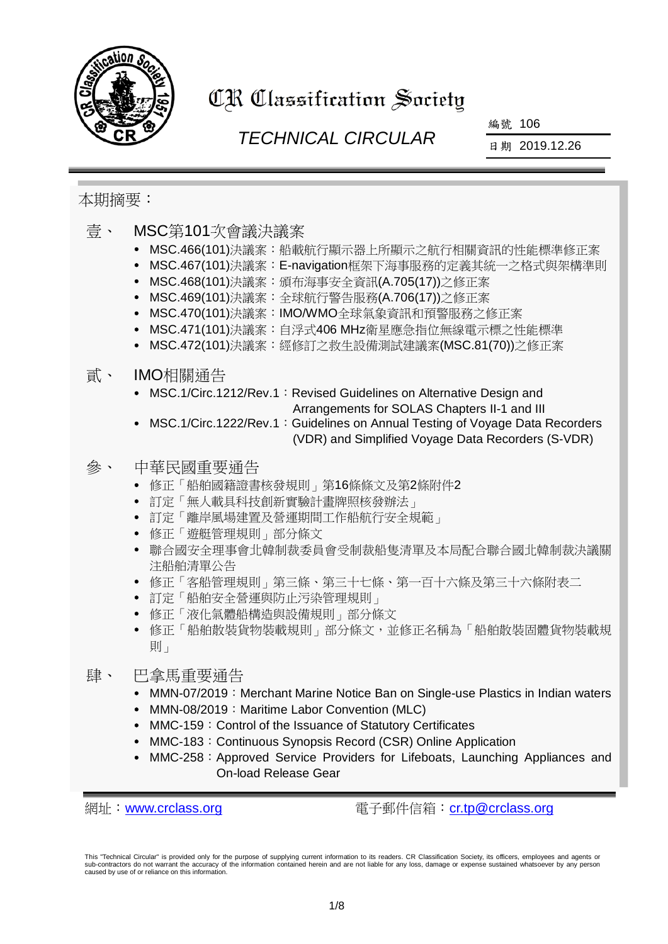

# CR Classification Society

# *TECHNICAL CIRCULAR*

編號 106

日期 2019.12.26

### 本期摘要:

- 壹、 MSC第101次會議決議案
	- MSC.466(101)決議案:船載航行顯示器上所顯示之航行相關資訊的性能標準修正案
	- MSC.467(101)決議案: E-navigation框架下海事服務的定義其統一之格式與架構準則
	- MSC.468(101)決議案:頒布海事安全資訊(A.705(17))之修正案
	- MSC.469(101)決議案:全球航行警告服務(A.706(17))之修正案
	- MSC.470(101)決議案: IMO/WMO全球氣象資訊和預警服務之修正案
	- MSC.471(101)決議案:自浮式406 MHz衛星應急指位無線電示標之性能標準
	- MSC.472(101)決議案:經修訂之救生設備測試建議案(MSC.81(70))之修正案

### 貳、 IMO相關通告

- MSC.1/Circ.1212/Rev.1: Revised Guidelines on Alternative Design and Arrangements for SOLAS Chapters II-1 and III
- MSC.1/Circ.1222/Rev.1: Guidelines on Annual Testing of Voyage Data Recorders (VDR) and Simplified Voyage Data Recorders (S-VDR)

### 參、 中華民國重要通告

- 修正「船舶國籍證書核發規則」第16條條文及第2條附件2
- 訂定「無人載具科技創新實驗計畫牌照核發辦法」
- 訂定「離岸風場建置及營運期間工作船航行安全規範」
- 修正「遊艇管理規則」部分條文
- 聯合國安全理事會北韓制裁委員會受制裁船隻清單及本局配合聯合國北韓制裁決議關 注船舶清單公告
- 修正「客船管理規則」第三條、第三十七條、第一百十六條及第三十六條附表二
- 訂定「船舶安全營運與防止污染管理規則」
- 修正「液化氣體船構造與設備規則」部分條文
- 修正「船舶散裝貨物裝載規則」部分條文,並修正名稱為「船舶散裝固體貨物裝載規 則」

### 肆、 巴拿馬重要涌告

- MMN-07/2019: Merchant Marine Notice Ban on Single-use Plastics in Indian waters
- MMN-08/2019: Maritime Labor Convention (MLC)
- MMC-159: Control of the Issuance of Statutory Certificates
- MMC-183: Continuous Synopsis Record (CSR) Online Application
- MMC-258: Approved Service Providers for Lifeboats, Launching Appliances and On-load Release Gear

網址: [www.crclass.org](http://www.crclass.org/) 雷子郵件信箱: [cr.tp@crclass.org](mailto:cr.tp@crclass.org)

This "Technical Circular" is provided only for the purpose of supplying current information to its readers. CR Classification Society, its officers, employees and agents or sub-contractors do not warrant the accuracy of the information contained herein and are not liable for any loss, damage or expense sustained whatsoever by any person caused by use of or reliance on this information.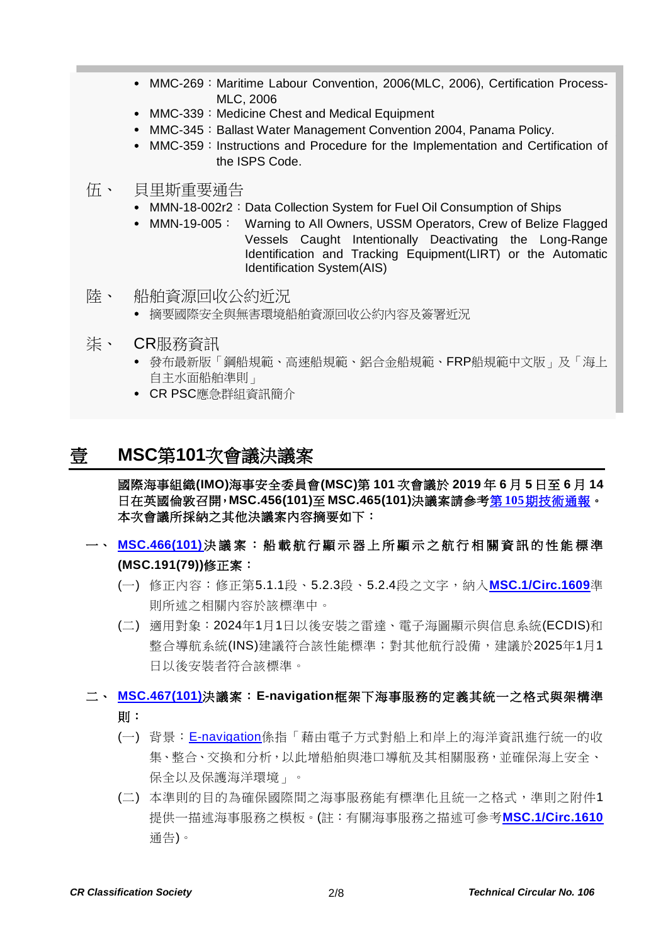- MMC-269: Maritime Labour Convention, 2006(MLC, 2006), Certification Process-MLC, 2006
- MMC-339: Medicine Chest and Medical Equipment
- MMC-345: Ballast Water Management Convention 2004, Panama Policy.
- MMC-359: Instructions and Procedure for the Implementation and Certification of the ISPS Code.
- 伍、 貝里斯重要通告
	- MMN-18-002r2: Data Collection System for Fuel Oil Consumption of Ships
	- MMN-19-005: Warning to All Owners, USSM Operators, Crew of Belize Flagged Vessels Caught Intentionally Deactivating the Long-Range Identification and Tracking Equipment(LIRT) or the Automatic Identification System(AIS)
- 陸、 船舶資源回收公約近況
	- 摘要國際安全與無害環境船舶資源回收公約內容及簽署近況
- 柒、 CR服務資訊
	- 發布最新版「鋼船規範、高速船規範、鋁合金船規範、FRP船規範中文版」及「海上 自主水面船舶準則」
	- CR PSC應急群組資訊簡介

## 壹 **MSC**第**101**次會議決議案

國際海事組織**(IMO)**海事安全委員會**(MSC)**第 **101** 次會議於 **2019** 年 **6** 月 **5** 日至 **6** 月 **14** 日在英國倫敦召開,**MSC.456(101)**至 **MSC.465(101)**決議案請參考第 **105**[期技術通報。](https://www.crclass.org/chinese/download/ti-tc/105/105.pdf) 本次會議所採納之其他決議案內容摘要如下:

- 一、 **[MSC.466\(101\)](https://www.crclass.org/chinese/download/ti-tc/106/1-1%20MSC.466(101).pdf)**決議案: 船載航行顯示器上所顯示之航行相關資訊的性能標準 **(MSC.191(79))**修正案:
	- (一) 修正內容:修正第5.1.1段、5.2.3段、5.2.4段之文字,納入**[MSC.1/Circ.1609](https://www.crclass.org/chinese/download/ti-tc/106/1-2%20MSC.1-Circ.1609%20-%20Guidelines%20For%20The%20Standardization%20OfUser%20Interface%20Design%20For%20Navigation%20Equipment%20(Secretariat)%20(1).pdf)**準 則所述之相關內容於該標準中。
	- (二) 適用對象:2024年1月1日以後安裝之雷達、電子海圖顯示與信息系統(ECDIS)和 整合導航系統(INS)建議符合該性能標準;對其他航行設備,建議於2025年1月1 日以後安裝者符合該標準。
- 二、 **[MSC.467\(101\)](https://www.crclass.org/chinese/download/ti-tc/106/1-3%20MSC.467(101).pdf)**決議案:**E-navigation**框架下海事服務的定義其統一之格式與架構準 則:
	- (一) 背景:[E-navigation](http://www.imo.org/en/OurWork/Safety/Navigation/Pages/eNavigation.aspx)係指「藉由電子方式對船上和岸上的海洋資訊進行統一的收 集、整合、交換和分析,以此增船舶與港口導航及其相關服務,並確保海上安全、 保全以及保護海洋環境」。
	- (二) 本準則的目的為確保國際間之海事服務能有標準化且統一之格式,準則之附件1 提供一描述海事服務之模板。(註:有關海事服務之描述可參考**[MSC.1/Circ.1610](https://www.crclass.org/chinese/download/ti-tc/106/1-4%20MSC.1-CIRC.1610%20-%20Initial%20Descriptions%20Of%20Maritime%20ServicesIn%20The%20Context%20Of%20E-Navigation%20(Secretariat)%20(1).pdf)** 通告)。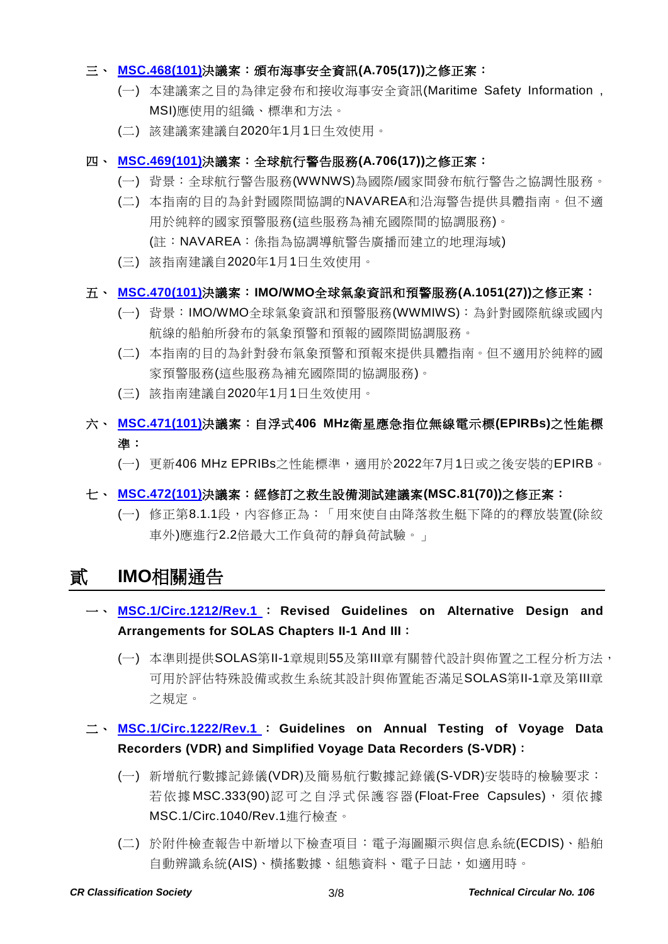#### 三、 **[MSC.468\(101\)](https://www.crclass.org/chinese/download/ti-tc/106/1-5%20MSC.468(101).pdf)**決議案:頒布海事安全資訊**(A.705(17))**之修正案:

- (一) 本建議案之目的為律定發布和接收海事安全資訊(Maritime Safety Information , MSI)應使用的組織、標準和方法。
- (二) 該建議案建議自2020年1月1日生效使用。

#### 四、 **[MSC.469\(101\)](https://www.crclass.org/chinese/download/ti-tc/106/1-6%20MSC.469(101).pdf)**決議案:全球航行警告服務**(A.706(17))**之修正案:

- (一) 背景:全球航行警告服務(WWNWS)為國際/國家間發布航行警告之協調性服務。
- (二) 本指南的目的為針對國際間協調的NAVAREA和沿海警告提供具體指南。但不適 用於純粹的國家預警服務(這些服務為補充國際間的協調服務)。 (註:NAVAREA:係指為協調導航警告廣播而建立的地理海域)
- (三) 該指南建議自2020年1月1日生效使用。

#### 五、 **[MSC.470\(101\)](https://www.crclass.org/chinese/download/ti-tc/106/1-7%20MSC.470(101).pdf)**決議案:**IMO/WMO**全球氣象資訊和預警服務**(A.1051(27))**之修正案:

- (一) 背景:IMO/WMO全球氣象資訊和預警服務(WWMIWS):為針對國際航線或國內 航線的船舶所發布的氣象預警和預報的國際間協調服務。
- (二) 本指南的目的為針對發布氣象預警和預報來提供具體指南。但不適用於純粹的國 家預警服務(這些服務為補充國際間的協調服務)。
- (三) 該指南建議自2020年1月1日生效使用。

### 六、 **[MSC.471\(101\)](https://www.crclass.org/chinese/download/ti-tc/106/1-8%20MSC.471(101).pdf)**決議案:自浮式**406 MHz**衛星應急指位無線電示標**(EPIRBs)**之性能標 準:

- (一) 更新406 MHz EPRIBs之性能標準,適用於2022年7月1日或之後安裝的EPIRB。
- 七、 **[MSC.472\(101\)](https://www.crclass.org/chinese/download/ti-tc/106/1-9%20MSC.472(101).pdf)**決議案:經修訂之救生設備測試建議案**(MSC.81(70))**之修正案:
	- (一) 修正第8.1.1段,內容修正為:「用來使自由降落救生艇下降的的釋放裝置(除絞 車外)應進行2.2倍最大工作負荷的靜負荷試驗。」

# 貳 **IMO**相關通告

- 一、 **[MSC.1/Circ.1212/Rev.1](https://www.crclass.org/chinese/download/ti-tc/106/2-1%20MSC.1-Circ.1212-Rev.1%20-%20Revised%20Guidelines%20On%20Alternative%20Design%20And%20Arrangements%20For%20Solas%20Chapters%20Ii-1%20And%20Iii%20(Secretariat).pdf)** : **Revised Guidelines on Alternative Design and Arrangements for SOLAS Chapters II-1 And III**:
	- (一) 本準則提供SOLAS第II-1章規則55及第III章有關替代設計與佈置之工程分析方法, 可用於評估特殊設備或救生系統其設計與佈置能否滿足SOLAS第II-1章及第III章 之規定。

### 二、 **[MSC.1/Circ.1222/Rev.1](https://www.crclass.org/chinese/download/ti-tc/106/2-2%20MSC.1-Circ.1222-Rev.1%20-%20Guidelines%20On%20Annual%20Testing%20Of%20Voyage%20Data%20Recorders%20(Vdr)%20And%20Simplified%20Voyage%20Data%20Rec...%20(Secretariat).pdf)** : **Guidelines on Annual Testing of Voyage Data Recorders (VDR) and Simplified Voyage Data Recorders (S-VDR)**:

- (一) 新增航行數據記錄儀(VDR)及簡易航行數據記錄儀(S-VDR)安裝時的檢驗要求: 若依據 MSC.333(90)認可之自浮式保護容器 (Float-Free Capsules),須依據 MSC.1/Circ.1040/Rev.1進行檢查。
- (二) 於附件檢查報告中新增以下檢查項目:電子海圖顯示與信息系統(ECDIS)、船舶 自動辨識系統(AIS)、橫搖數據、組態資料、電子日誌,如適用時。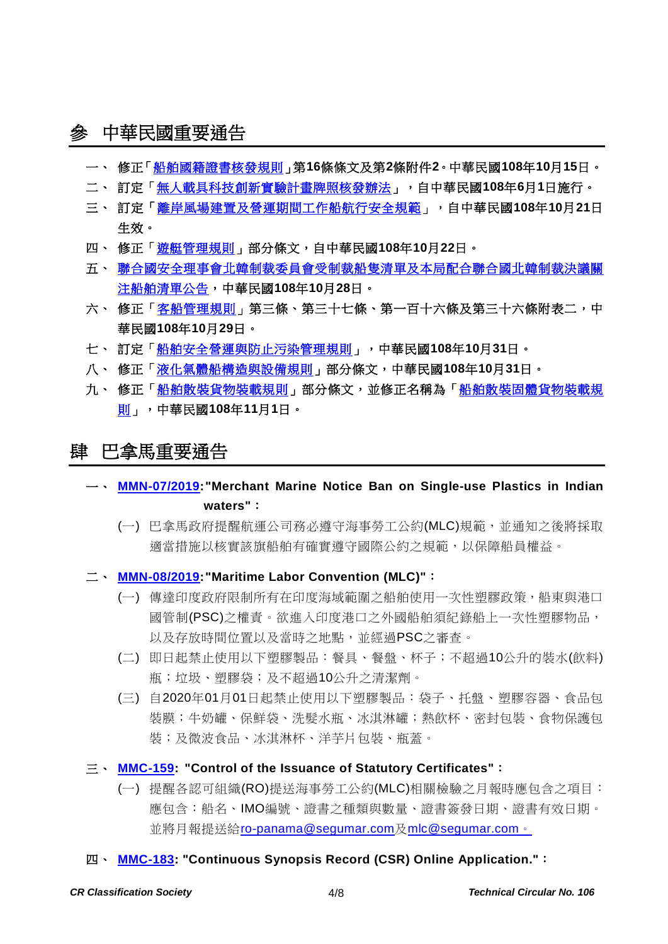# 參 中華民國重要通告

- 一、 修正[「船舶國籍證書核發規則」](https://gazette.nat.gov.tw/egFront/detail.do?metaid=110567&log=detailLog)第**16**條條文及第**2**條附件**2**。中華民國**108**年**10**月**15**日。
- 二、 訂定[「無人載具科技創新實驗計畫牌照核發辦法」](https://gazette.nat.gov.tw/egFront/detail.do?metaid=110563&log=detailLog),自中華民國**108**年**6**月**1**日施行。
- 三、 訂定[「離岸風場建置及營運期間工作船航行安全規範」](https://gazette.nat.gov.tw/egFront/detail.do?metaid=110688&log=detailLog),自中華民國**108**年**10**月**21**日 生效。
- 四、 修正[「遊艇管理規則」](https://gazette.nat.gov.tw/egFront/detail.do?metaid=110725&log=detailLog)部分條文,自中華民國**108**年**10**月**22**日。
- 五、 [聯合國安全理事會北韓制裁委員會受制裁船隻清單及本局配合聯合國北韓制裁決議關](https://www.motcmpb.gov.tw/Information/Detail/cfc09406-61f5-4462-a7ee-4bb3de2fdab0?SiteId=1&NodeId=103) [注船舶清單公告,](https://www.motcmpb.gov.tw/Information/Detail/cfc09406-61f5-4462-a7ee-4bb3de2fdab0?SiteId=1&NodeId=103)中華民國**108**年**10**月**28**日。
- 六、 修正[「客船管理規則」](https://gazette.nat.gov.tw/egFront/detail.do?metaid=110865&log=detailLog)第三條、第三十七條、第一百十六條及第三十六條附表二,中 華民國**108**年**10**月**29**日。
- 七、 訂定[「船舶安全營運與防止污染管理規則」](https://gazette.nat.gov.tw/egFront/detail.do?metaid=110934&log=detailLog),中華民國**108**年**10**月**31**日。
- 八、 修正[「液化氣體船構造與設備規則」](https://gazette.nat.gov.tw/egFront/detail.do?metaid=110936&log=detailLog)部分條文,中華民國**108**年**10**月**31**日。
- 九、 修正[「船舶散裝貨物裝載規則」](https://gazette.nat.gov.tw/egFront/detail.do?metaid=110985&log=detailLog)部分條文,並修正名稱為[「船舶散裝固體貨物裝載規](https://gazette.nat.gov.tw/egFront/detail.do?metaid=110985&log=detailLog) [則」](https://gazette.nat.gov.tw/egFront/detail.do?metaid=110985&log=detailLog),中華民國**108**年**11**月**1**日。

### 肆 巴拿馬重要通告

- 一、 **[MMN-07/2019:](https://www.crclass.org/chinese/download/ti-tc/106/4-1%20MMN-07-2019.pdf)"Merchant Marine Notice Ban on Single-use Plastics in Indian waters"**:
	- (一) 巴拿馬政府提醒航運公司務必遵守海事勞工公約(MLC)規範,並通知之後將採取 適當措施以核實該旗船舶有確實遵守國際公約之規範,以保障船員權益。

二、 **[MMN-08/2019:](https://www.crclass.org/chinese/download/ti-tc/106/4-2%20Marine-Notice-MMN-08-Oct-2019-No-single-use-plastics-in-Indian-Waters.pdf)"Maritime Labor Convention (MLC)"**:

- (一) 傳達印度政府限制所有在印度海域範圍之船舶使用一次性塑膠政策,船東與港口 國管制(PSC)之權責。欲進入印度港口之外國船舶須紀錄船上一次性塑膠物品, 以及存放時間位置以及當時之地點,並經過PSC之審查。
- (二) 即日起禁止使用以下塑膠製品:餐具、餐盤、杯子;不超過10公升的裝水(飲料) 瓶;垃圾、塑膠袋;及不超過10公升之清潔劑。
- (三) 自2020年01月01日起禁止使用以下塑膠製品:袋子、托盤、塑膠容器、食品包 裝膜;牛奶罐、保鮮袋、洗髮水瓶、冰淇淋罐;熱飲杯、密封包裝、食物保護包 裝;及微波食品、冰淇淋杯、洋芋片包裝、瓶蓋。
- 三、 **[MMC-159:](https://www.crclass.org/chinese/download/ti-tc/106/4-3%20MMC-159-CONTROL-OF-THE-ISSUANCE-OF-THE-ISSUANCE-OF-STATUTORY-CERTIFICATES-22-NOV-2019.pdf) "Control of the Issuance of Statutory Certificates"**:
	- (一) 提醒各認可組織(RO)提送海事勞工公約(MLC)相關檢驗之月報時應包含之項目: 應包含:船名、IMO編號、證書之種類與數量、證書簽發日期、證書有效日期。 並將月報提送給[ro-panama@segumar.com](mailto:ro-panama@segumar.com)及[mlc@segumar.com](mailto:mlc@segumar.com)。
- 四、 **[MMC-183:](https://www.crclass.org/chinese/download/ti-tc/106/4-4%20MMC-183-11-diciembre-2019.pdf) "Continuous Synopsis Record (CSR) Online Application."**: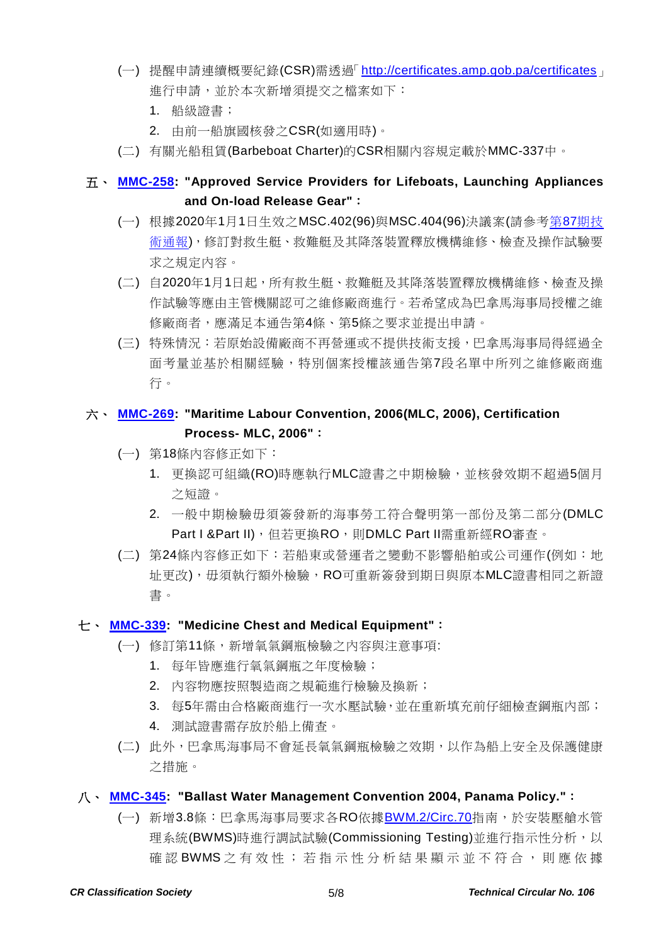- (一) 提醒申請連續概要紀錄(CSR)需透過「<http://certificates.amp.gob.pa/certificates>」 進行申請,並於本次新增須提交之檔案如下:
	- 1. 船級證書;
	- 2. 由前一船旗國核發之CSR(如適用時)。
- (二) 有關光船租賃(Barbeboat Charter)的CSR相關內容規定載於MMC-337中。

### 五、 **[MMC-258:](https://www.crclass.org/chinese/download/ti-tc/106/4-5%20MMC-258-APPROVED-SERVICE-PROVIDERS-LB-final-version-25-nov-2019.pdf) "Approved Service Providers for Lifeboats, Launching Appliances and On-load Release Gear"**:

- (一) 根據2020年1月1日生效之MSC.402(96)與MSC.404(96)決議案(請參考第87[期技](https://www.crclass.org/chinese/download/ti-tc/87/87.pdf) [術通報](https://www.crclass.org/chinese/download/ti-tc/87/87.pdf)),修訂對救生艇、救難艇及其降落裝置釋放機構維修、檢查及操作試驗要 求之規定內容。
- (二) 自2020年1月1日起,所有救生艇、救難艇及其降落裝置釋放機構維修、檢查及操 作試驗等應由主管機關認可之維修廠商進行。若希望成為巴拿馬海事局授權之維 修廠商者,應滿足本通告第4條、第5條之要求並提出申請。
- (三) 特殊情況:若原始設備廠商不再營運或不提供技術支援,巴拿馬海事局得經過全 面考量並基於相關經驗,特別個案授權該通告第7段名單中所列之維修廠商進 行。

### 六、 **[MMC-269:](https://www.crclass.org/chinese/download/ti-tc/106/4-6%20MMC-269-27-09-2019-1.pdf) "Maritime Labour Convention, 2006(MLC, 2006), Certification Process- MLC, 2006"**:

- (一) 第18條內容修正如下:
	- 1. 更換認可組織(RO)時應執行MLC證書之中期檢驗,並核發效期不超過5個月 之短證。
	- 2. 一般中期檢驗毋須簽發新的海事勞工符合聲明第一部份及第二部分(DMLC Part I &Part II), 但若更換RO, 則DMLC Part II需重新經RO審查。
- (二) 第24條內容修正如下:若船東或營運者之變動不影響船舶或公司運作(例如:地 址更改),毋須執行額外檢驗,RO可重新簽發到期日與原本MLC證書相同之新證 書。

#### 七、 **[MMC-339:](https://www.crclass.org/chinese/download/ti-tc/106/4-7%20MMC-339-10-09-2019.pdf) "Medicine Chest and Medical Equipment"**:

- (一) 修訂第11條,新增氧氣鋼瓶檢驗之內容與注意事項:
	- 1. 每年皆應進行氧氣鋼瓶之年度檢驗;
	- 2. 內容物應按照製造商之規範進行檢驗及換新;
	- 3. 每5年需由合格廠商進行一次水壓試驗,並在重新填充前仔細檢查鋼瓶內部;
	- 4. 測試證書需存放於船上備查。
- (二) 此外,巴拿馬海事局不會延長氧氣鋼瓶檢驗之效期,以作為船上安全及保護健康 之措施。

#### 八、 **[MMC-345:](https://www.crclass.org/chinese/download/ti-tc/106/4-8%20MMC-345-BWM-Oct-2019.pdf) "Ballast Water Management Convention 2004, Panama Policy."**:

(一) 新增3.8條:巴拿馬海事局要求各RO依據[BWM.2/Circ.70](https://www.crclass.org/chinese/download/ti-tc/100/100.pdf)指南,於安裝壓艙水管 理系統(BWMS)時進行調試試驗(Commissioning Testing)並進行指示性分析,以 確認 BWMS 之 有 效 性;若 指 示 性 分 析 結 果 顯 示 並 不 符 合 , 則 應 依 據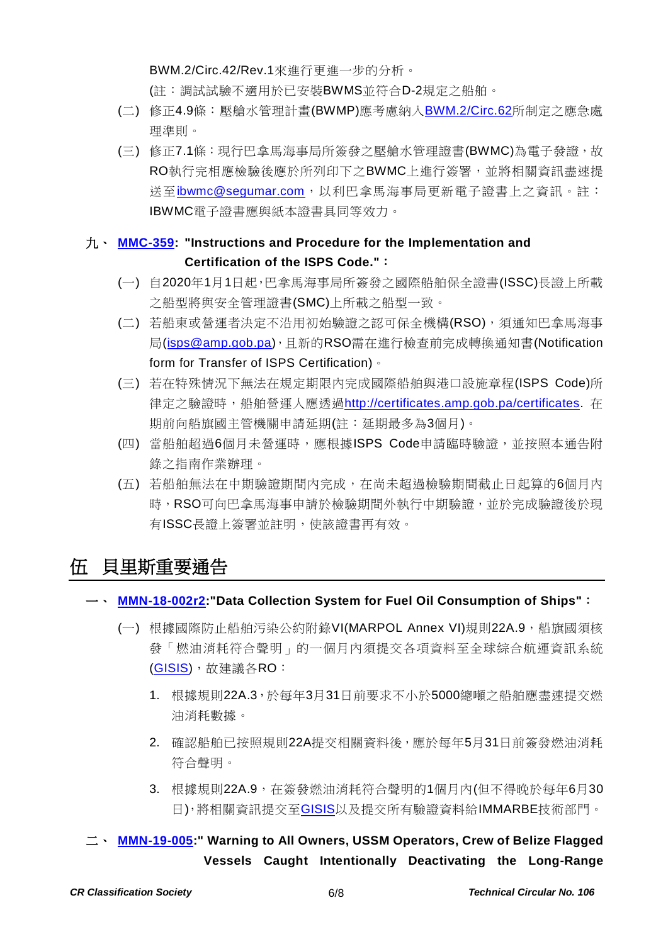BWM.2/Circ.42/Rev.1來進行更進一步的分析。

(註:調試試驗不適用於已安裝BWMS並符合D-2規定之船舶。

- (二) 修正4.9條:壓艙水管理計畫(BWMP)應考慮納入**[BWM.2/Circ.62](https://www.crclass.org/chinese/download/ti-tc/93/93.pdf)**所制定之應急處 理準則。
- (三) 修正7.1條:現行巴拿馬海事局所簽發之壓艙水管理證書(BWMC)為電子發證,故 RO執行完相應檢驗後應於所列印下之BWMC上進行簽署,並將相關資訊盡速提 送至[ibwmc@segumar.com](mailto:ibwmc@segumar.com),以利巴拿馬海事局更新電子證書上之資訊。註: IBWMC電子證書應與紙本證書具同等效力。

## 九、 **[MMC-359:](https://www.crclass.org/chinese/download/ti-tc/106/4-9%20MMC-359-1.pdf) "Instructions and Procedure for the Implementation and Certification of the ISPS Code."**:

- (一) 自2020年1月1日起,巴拿馬海事局所簽發之國際船舶保全證書(ISSC)長證上所載 之船型將與安全管理證書(SMC)上所載之船型一致。
- (二) 若船東或營運者決定不沿用初始驗證之認可保全機構(RSO),須通知巴拿馬海事 局[\(isps@amp.gob.pa\)](mailto:isps@amp.gob.pa),且新的RSO需在進行檢查前完成轉換通知書(Notification form for Transfer of ISPS Certification)。
- (三) 若在特殊情況下無法在規定期限內完成國際船舶與港口設施章程(ISPS Code)所 律定之驗證時,船舶營運人應透過[http://certificates.amp.gob.pa/certificates.](http://certificates.amp.gob.pa/certificates) 在 期前向船旗國主管機關申請延期(註:延期最多為3個月)。
- (四) 當船舶超過6個月未營運時,應根據ISPS Code申請臨時驗證,並按照本通告附 錄之指南作業辦理。
- (五) 若船舶無法在中期驗證期間內完成,在尚未超過檢驗期間截止日起算的6個月內 時,RSO可向巴拿馬海事申請於檢驗期間外執行中期驗證,並於完成驗證後於現 有ISSC長證上簽署並註明,使該證書再有效。

# 伍 貝里斯重要通告

### 一、 **[MMN-18-002r2:](https://www.crclass.org/chinese/download/ti-tc/106/5-1%20MMN-18-002r2%20Data%20Collection%20System%20for%20Fuel%20Oil%20Consumption%20of%20Ships.pdf)"Data Collection System for Fuel Oil Consumption of Ships"**:

- (一) 根據國際防止船舶污染公約附錄VI(MARPOL Annex VI)規則22A.9,船旗國須核 發「燃油消耗符合聲明」的一個月內須提交各項資料至全球綜合航運資訊系統 [\(GISIS\)](https://gisis.imo.org/),故建議各RO:
	- 1. 根據規則22A.3,於每年3月31日前要求不小於5000總噸之船舶應盡速提交燃 油消耗數據。
	- 2. 確認船舶已按照規則22A提交相關資料後,應於每年5月31日前簽發燃油消耗 符合聲明。
	- 3. 根據規則22A.9,在簽發燃油消耗符合聲明的1個月內(但不得晚於每年6月30 日),將相關資訊提交至[GISIS](https://gisis.imo.org/)以及提交所有驗證資料給IMMARBE技術部門。

二、 **[MMN-19-005:](https://www.crclass.org/chinese/download/ti-tc/106/5-2%20MMN-19-005%20WARNING%20for%20Belize%20Flagged%20Vessels%20caught%20intentionally%20deactivating%20the%20LRIT%20&%20AIS.pdf)" Warning to All Owners, USSM Operators, Crew of Belize Flagged Vessels Caught Intentionally Deactivating the Long-Range**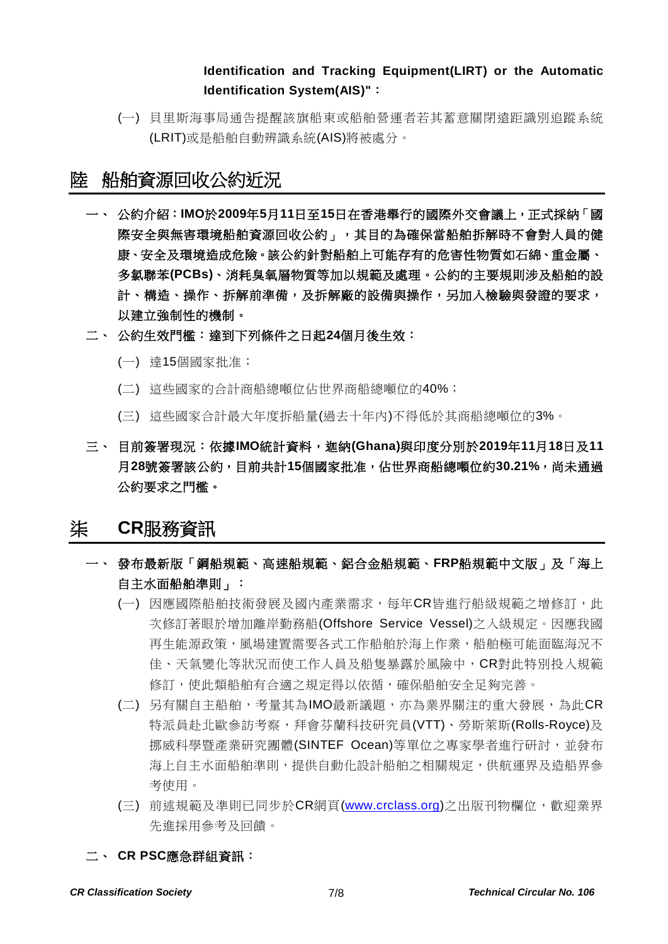### **Identification and Tracking Equipment(LIRT) or the Automatic Identification System(AIS)"**:

(一) 貝里斯海事局通告提醒該旗船東或船舶營運者若其蓄意關閉遠距識別追蹤系統 (LRIT)或是船舶自動辨識系統(AIS)將被處分。

# 陸 船舶資源回收公約近況

- 一、 公約介紹:**IMO**於**2009**年**5**月**11**日至**15**日在香港舉行的國際外交會議上,正式採納「國 際安全與無害環境船舶資源回收公約」,其目的為確保當船舶拆解時不會對人員的健 康、安全及環境造成危險。該公約針對船舶上可能存有的危害性物質如石綿、重金屬、 多氯聯苯**(PCBs)**、消耗臭氧層物質等加以規範及處理。公約的主要規則涉及船舶的設 計、構造、操作、拆解前準備,及拆解廠的設備與操作,另加入檢驗與發證的要求, 以建立強制性的機制。
- 二、 公約生效門檻:達到下列條件之日起**24**個月後生效:
	- (一) 達15個國家批准;
	- (二) 這些國家的合計商船總噸位佔世界商船總噸位的40%;
	- (三) 這些國家合計最大年度拆船量(過去十年內)不得低於其商船總噸位的3%。
- 三、 目前簽署現況:依據**IMO**統計資料,迦納**(Ghana)**與印度分別於**2019**年**11**月**18**日及**11** 月**28**號簽署該公約,目前共計**15**個國家批准,佔世界商船總噸位約**30.21%**,尚未通過 公約要求之門檻。

### 柒 **CR**服務資訊

- 一、 發布最新版「鋼船規範、高速船規範、鋁合金船規範、**FRP**船規範中文版」及「海上 自主水面船舶準則」:
	- (一) 因應國際船舶技術發展及國內產業需求,每年CR皆進行船級規範之增修訂,此 次修訂著眼於增加離岸勤務船(Offshore Service Vessel)之入級規定。因應我國 再生能源政策,風場建置需要各式工作船舶於海上作業,船舶極可能面臨海況不 佳、天氣變化等狀況而使工作人員及船隻暴露於風險中,CR對此特別投入規範 修訂,使此類船舶有合適之規定得以依循,確保船舶安全足夠完善。
	- (二) 另有關自主船舶,考量其為IMO最新議題,亦為業界關注的重大發展,為此CR 特派員赴北歐參訪考察,拜會芬蘭科技研究員(VTT)、勞斯萊斯(Rolls-Royce)及 挪威科學暨產業研究團體(SINTEF Ocean)等單位之專家學者進行研討,並發布 海上自主水面船舶準則,提供自動化設計船舶之相關規定,供航運界及造船界參 考使用。
	- (三) 前述規範及準則已同步於CR網頁[\(www.crclass.org\)](http://www.crclass.org/)之出版刊物欄位,歡迎業界 先進採用參考及回饋。

二、 **CR PSC**應急群組資訊: